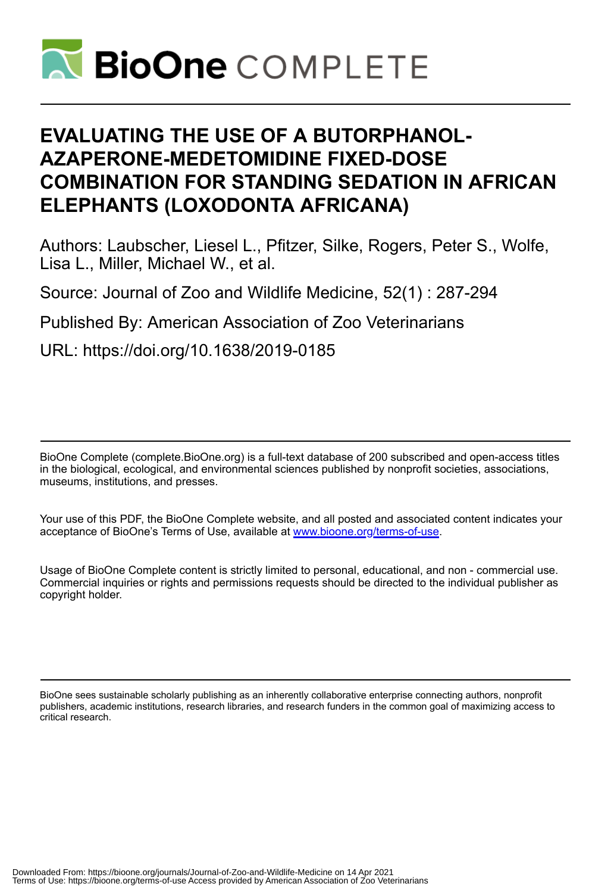

# **EVALUATING THE USE OF A BUTORPHANOL-AZAPERONE-MEDETOMIDINE FIXED-DOSE COMBINATION FOR STANDING SEDATION IN AFRICAN ELEPHANTS (LOXODONTA AFRICANA)**

Authors: Laubscher, Liesel L., Pfitzer, Silke, Rogers, Peter S., Wolfe, Lisa L., Miller, Michael W., et al.

Source: Journal of Zoo and Wildlife Medicine, 52(1) : 287-294

Published By: American Association of Zoo Veterinarians

URL: https://doi.org/10.1638/2019-0185

BioOne Complete (complete.BioOne.org) is a full-text database of 200 subscribed and open-access titles in the biological, ecological, and environmental sciences published by nonprofit societies, associations, museums, institutions, and presses.

Your use of this PDF, the BioOne Complete website, and all posted and associated content indicates your acceptance of BioOne's Terms of Use, available at www.bioone.org/terms-of-use.

Usage of BioOne Complete content is strictly limited to personal, educational, and non - commercial use. Commercial inquiries or rights and permissions requests should be directed to the individual publisher as copyright holder.

BioOne sees sustainable scholarly publishing as an inherently collaborative enterprise connecting authors, nonprofit publishers, academic institutions, research libraries, and research funders in the common goal of maximizing access to critical research.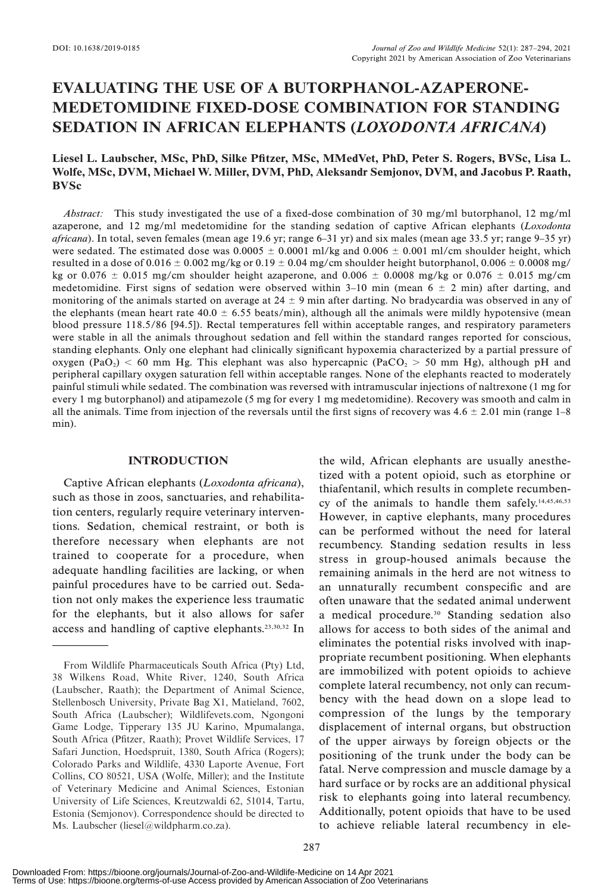# EVALUATING THE USE OF A BUTORPHANOL-AZAPERONE-MEDETOMIDINE FIXED-DOSE COMBINATION FOR STANDING SEDATION IN AFRICAN ELEPHANTS (LOXODONTA AFRICANA)

# Liesel L. Laubscher, MSc, PhD, Silke Pfitzer, MSc, MMedVet, PhD, Peter S. Rogers, BVSc, Lisa L. Wolfe, MSc, DVM, Michael W. Miller, DVM, PhD, Aleksandr Semjonov, DVM, and Jacobus P. Raath, BVSc

Abstract: This study investigated the use of a fixed-dose combination of 30 mg/ml butorphanol, 12 mg/ml azaperone, and 12 mg/ml medetomidine for the standing sedation of captive African elephants (Loxodonta africana). In total, seven females (mean age 19.6 yr; range 6–31 yr) and six males (mean age 33.5 yr; range 9–35 yr) were sedated. The estimated dose was  $0.0005 \pm 0.0001$  ml/kg and  $0.006 \pm 0.001$  ml/cm shoulder height, which resulted in a dose of 0.016  $\pm$  0.002 mg/kg or 0.19  $\pm$  0.04 mg/cm shoulder height butorphanol, 0.006  $\pm$  0.0008 mg/ kg or 0.076  $\pm$  0.015 mg/cm shoulder height azaperone, and 0.006  $\pm$  0.0008 mg/kg or 0.076  $\pm$  0.015 mg/cm medetomidine. First signs of sedation were observed within  $3-10$  min (mean 6  $\pm$  2 min) after darting, and monitoring of the animals started on average at  $24 \pm 9$  min after darting. No bradycardia was observed in any of the elephants (mean heart rate  $40.0 \pm 6.55$  beats/min), although all the animals were mildly hypotensive (mean blood pressure 118.5/86 [94.5]). Rectal temperatures fell within acceptable ranges, and respiratory parameters were stable in all the animals throughout sedation and fell within the standard ranges reported for conscious, standing elephants. Only one elephant had clinically significant hypoxemia characterized by a partial pressure of oxygen (PaO<sub>2</sub>) < 60 mm Hg. This elephant was also hypercapnic (PaCO<sub>2</sub> > 50 mm Hg), although pH and peripheral capillary oxygen saturation fell within acceptable ranges. None of the elephants reacted to moderately painful stimuli while sedated. The combination was reversed with intramuscular injections of naltrexone (1 mg for every 1 mg butorphanol) and atipamezole (5 mg for every 1 mg medetomidine). Recovery was smooth and calm in all the animals. Time from injection of the reversals until the first signs of recovery was  $4.6 \pm 2.01$  min (range  $1-8$ ) min).

# INTRODUCTION

Captive African elephants (Loxodonta africana), such as those in zoos, sanctuaries, and rehabilitation centers, regularly require veterinary interventions. Sedation, chemical restraint, or both is therefore necessary when elephants are not trained to cooperate for a procedure, when adequate handling facilities are lacking, or when painful procedures have to be carried out. Sedation not only makes the experience less traumatic for the elephants, but it also allows for safer access and handling of captive elephants.23,30,32 In the wild, African elephants are usually anesthetized with a potent opioid, such as etorphine or thiafentanil, which results in complete recumbency of the animals to handle them safely. $14,45,46,53$ However, in captive elephants, many procedures can be performed without the need for lateral recumbency. Standing sedation results in less stress in group-housed animals because the remaining animals in the herd are not witness to an unnaturally recumbent conspecific and are often unaware that the sedated animal underwent a medical procedure.<sup>30</sup> Standing sedation also allows for access to both sides of the animal and eliminates the potential risks involved with inappropriate recumbent positioning. When elephants are immobilized with potent opioids to achieve complete lateral recumbency, not only can recumbency with the head down on a slope lead to compression of the lungs by the temporary displacement of internal organs, but obstruction of the upper airways by foreign objects or the positioning of the trunk under the body can be fatal. Nerve compression and muscle damage by a hard surface or by rocks are an additional physical risk to elephants going into lateral recumbency. Additionally, potent opioids that have to be used to achieve reliable lateral recumbency in ele-

From Wildlife Pharmaceuticals South Africa (Pty) Ltd, 38 Wilkens Road, White River, 1240, South Africa (Laubscher, Raath); the Department of Animal Science, Stellenbosch University, Private Bag X1, Matieland, 7602, South Africa (Laubscher); Wildlifevets.com, Ngongoni Game Lodge, Tipperary 135 JU Karino, Mpumalanga, South Africa (Pfitzer, Raath); Provet Wildlife Services, 17 Safari Junction, Hoedspruit, 1380, South Africa (Rogers); Colorado Parks and Wildlife, 4330 Laporte Avenue, Fort Collins, CO 80521, USA (Wolfe, Miller); and the Institute of Veterinary Medicine and Animal Sciences, Estonian University of Life Sciences, Kreutzwaldi 62, 51014, Tartu, Estonia (Semjonov). Correspondence should be directed to Ms. Laubscher (liesel@wildpharm.co.za).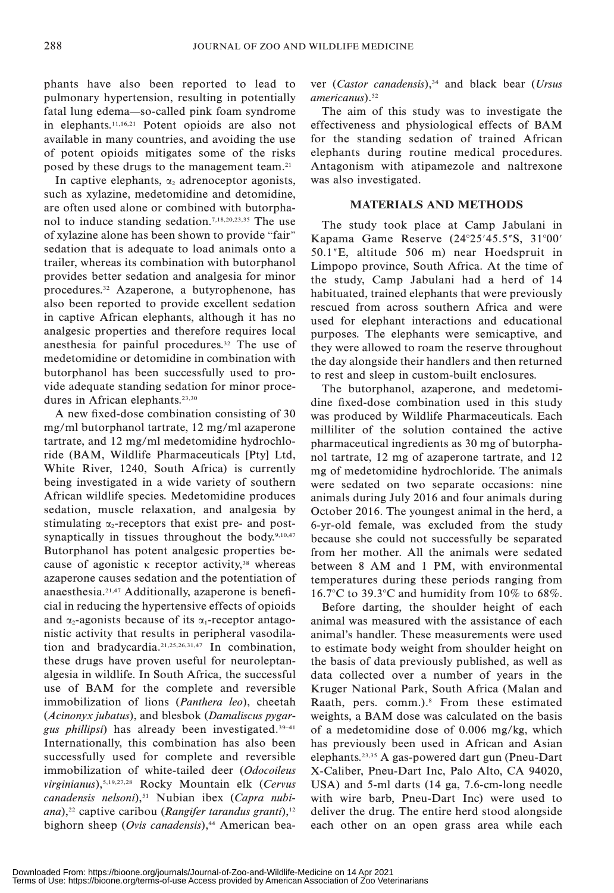phants have also been reported to lead to pulmonary hypertension, resulting in potentially fatal lung edema—so-called pink foam syndrome in elephants.11,16,21 Potent opioids are also not available in many countries, and avoiding the use of potent opioids mitigates some of the risks posed by these drugs to the management team.21

In captive elephants,  $\alpha_2$  adrenoceptor agonists, such as xylazine, medetomidine and detomidine, are often used alone or combined with butorphanol to induce standing sedation.7,18,20,23,35 The use of xylazine alone has been shown to provide ''fair'' sedation that is adequate to load animals onto a trailer, whereas its combination with butorphanol provides better sedation and analgesia for minor procedures.32 Azaperone, a butyrophenone, has also been reported to provide excellent sedation in captive African elephants, although it has no analgesic properties and therefore requires local anesthesia for painful procedures.32 The use of medetomidine or detomidine in combination with butorphanol has been successfully used to provide adequate standing sedation for minor procedures in African elephants.<sup>23,30</sup>

A new fixed-dose combination consisting of 30 mg/ml butorphanol tartrate, 12 mg/ml azaperone tartrate, and 12 mg/ml medetomidine hydrochloride (BAM, Wildlife Pharmaceuticals [Pty] Ltd, White River, 1240, South Africa) is currently being investigated in a wide variety of southern African wildlife species. Medetomidine produces sedation, muscle relaxation, and analgesia by stimulating  $\alpha_2$ -receptors that exist pre- and postsynaptically in tissues throughout the body.<sup>9,10,47</sup> Butorphanol has potent analgesic properties because of agonistic  $\kappa$  receptor activity,<sup>38</sup> whereas azaperone causes sedation and the potentiation of anaesthesia.21,47 Additionally, azaperone is beneficial in reducing the hypertensive effects of opioids and  $\alpha_2$ -agonists because of its  $\alpha_1$ -receptor antagonistic activity that results in peripheral vasodilation and bradycardia.21,25,26,31,47 In combination, these drugs have proven useful for neuroleptanalgesia in wildlife. In South Africa, the successful use of BAM for the complete and reversible immobilization of lions (Panthera leo), cheetah (Acinonyx jubatus), and blesbok (Damaliscus pygargus phillipsi) has already been investigated.39–41 Internationally, this combination has also been successfully used for complete and reversible immobilization of white-tailed deer (Odocoileus virginianus),5,19,27,28 Rocky Mountain elk (Cervus canadensis nelsoni),<sup>51</sup> Nubian ibex (Capra nubiana),<sup>22</sup> captive caribou (Rangifer tarandus granti),<sup>12</sup> bighorn sheep (Ovis canadensis), $44$  American beaver (Castor canadensis), $34$  and black bear (Ursus americanus).<sup>52</sup>

The aim of this study was to investigate the effectiveness and physiological effects of BAM for the standing sedation of trained African elephants during routine medical procedures. Antagonism with atipamezole and naltrexone was also investigated.

# MATERIALS AND METHODS

The study took place at Camp Jabulani in Kapama Game Reserve  $(24^{\circ}25'45.5''\text{S}, 31^{\circ}00'$ 50.199E, altitude 506 m) near Hoedspruit in Limpopo province, South Africa. At the time of the study, Camp Jabulani had a herd of 14 habituated, trained elephants that were previously rescued from across southern Africa and were used for elephant interactions and educational purposes. The elephants were semicaptive, and they were allowed to roam the reserve throughout the day alongside their handlers and then returned to rest and sleep in custom-built enclosures.

The butorphanol, azaperone, and medetomidine fixed-dose combination used in this study was produced by Wildlife Pharmaceuticals. Each milliliter of the solution contained the active pharmaceutical ingredients as 30 mg of butorphanol tartrate, 12 mg of azaperone tartrate, and 12 mg of medetomidine hydrochloride. The animals were sedated on two separate occasions: nine animals during July 2016 and four animals during October 2016. The youngest animal in the herd, a 6-yr-old female, was excluded from the study because she could not successfully be separated from her mother. All the animals were sedated between 8 AM and 1 PM, with environmental temperatures during these periods ranging from 16.7°C to 39.3°C and humidity from 10% to 68%.

Before darting, the shoulder height of each animal was measured with the assistance of each animal's handler. These measurements were used to estimate body weight from shoulder height on the basis of data previously published, as well as data collected over a number of years in the Kruger National Park, South Africa (Malan and Raath, pers. comm.).<sup>8</sup> From these estimated weights, a BAM dose was calculated on the basis of a medetomidine dose of 0.006 mg/kg, which has previously been used in African and Asian elephants.23,35 A gas-powered dart gun (Pneu-Dart X-Caliber, Pneu-Dart Inc, Palo Alto, CA 94020, USA) and 5-ml darts (14 ga, 7.6-cm-long needle with wire barb, Pneu-Dart Inc) were used to deliver the drug. The entire herd stood alongside each other on an open grass area while each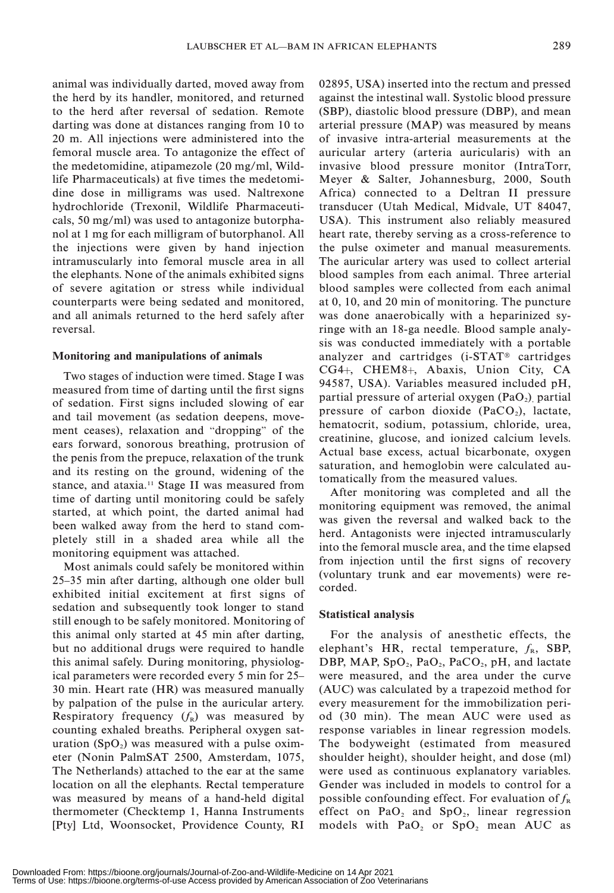animal was individually darted, moved away from the herd by its handler, monitored, and returned to the herd after reversal of sedation. Remote darting was done at distances ranging from 10 to 20 m. All injections were administered into the femoral muscle area. To antagonize the effect of the medetomidine, atipamezole (20 mg/ml, Wildlife Pharmaceuticals) at five times the medetomidine dose in milligrams was used. Naltrexone hydrochloride (Trexonil, Wildlife Pharmaceuticals, 50 mg/ml) was used to antagonize butorphanol at 1 mg for each milligram of butorphanol. All the injections were given by hand injection intramuscularly into femoral muscle area in all the elephants. None of the animals exhibited signs of severe agitation or stress while individual counterparts were being sedated and monitored, and all animals returned to the herd safely after

#### Monitoring and manipulations of animals

reversal.

Two stages of induction were timed. Stage I was measured from time of darting until the first signs of sedation. First signs included slowing of ear and tail movement (as sedation deepens, movement ceases), relaxation and ''dropping'' of the ears forward, sonorous breathing, protrusion of the penis from the prepuce, relaxation of the trunk and its resting on the ground, widening of the stance, and ataxia.<sup>11</sup> Stage II was measured from time of darting until monitoring could be safely started, at which point, the darted animal had been walked away from the herd to stand completely still in a shaded area while all the monitoring equipment was attached.

Most animals could safely be monitored within 25–35 min after darting, although one older bull exhibited initial excitement at first signs of sedation and subsequently took longer to stand still enough to be safely monitored. Monitoring of this animal only started at 45 min after darting, but no additional drugs were required to handle this animal safely. During monitoring, physiological parameters were recorded every 5 min for 25– 30 min. Heart rate (HR) was measured manually by palpation of the pulse in the auricular artery. Respiratory frequency  $(f_R)$  was measured by counting exhaled breaths. Peripheral oxygen saturation  $(SpO<sub>2</sub>)$  was measured with a pulse oximeter (Nonin PalmSAT 2500, Amsterdam, 1075, The Netherlands) attached to the ear at the same location on all the elephants. Rectal temperature was measured by means of a hand-held digital thermometer (Checktemp 1, Hanna Instruments [Pty] Ltd, Woonsocket, Providence County, RI 02895, USA) inserted into the rectum and pressed against the intestinal wall. Systolic blood pressure (SBP), diastolic blood pressure (DBP), and mean arterial pressure (MAP) was measured by means of invasive intra-arterial measurements at the auricular artery (arteria auricularis) with an invasive blood pressure monitor (IntraTorr, Meyer & Salter, Johannesburg, 2000, South Africa) connected to a Deltran II pressure transducer (Utah Medical, Midvale, UT 84047, USA). This instrument also reliably measured heart rate, thereby serving as a cross-reference to the pulse oximeter and manual measurements. The auricular artery was used to collect arterial blood samples from each animal. Three arterial blood samples were collected from each animal at 0, 10, and 20 min of monitoring. The puncture was done anaerobically with a heparinized syringe with an 18-ga needle. Blood sample analysis was conducted immediately with a portable analyzer and cartridges  $(i-STAT^{\circ}$  cartridges CG4+, CHEM8+, Abaxis, Union City, CA 94587, USA). Variables measured included pH, partial pressure of arterial oxygen  $(PaO<sub>2</sub>)$  partial pressure of carbon dioxide  $(PaCO<sub>2</sub>)$ , lactate, hematocrit, sodium, potassium, chloride, urea, creatinine, glucose, and ionized calcium levels. Actual base excess, actual bicarbonate, oxygen saturation, and hemoglobin were calculated automatically from the measured values.

After monitoring was completed and all the monitoring equipment was removed, the animal was given the reversal and walked back to the herd. Antagonists were injected intramuscularly into the femoral muscle area, and the time elapsed from injection until the first signs of recovery (voluntary trunk and ear movements) were recorded.

#### Statistical analysis

For the analysis of anesthetic effects, the elephant's HR, rectal temperature,  $f_{R}$ , SBP, DBP, MAP,  $SpO<sub>2</sub>$ , Pa $O<sub>2</sub>$ , PaCO<sub>2</sub>, pH, and lactate were measured, and the area under the curve (AUC) was calculated by a trapezoid method for every measurement for the immobilization period (30 min). The mean AUC were used as response variables in linear regression models. The bodyweight (estimated from measured shoulder height), shoulder height, and dose (ml) were used as continuous explanatory variables. Gender was included in models to control for a possible confounding effect. For evaluation of  $f_{R}$ effect on  $PaO<sub>2</sub>$  and  $SpO<sub>2</sub>$ , linear regression models with  $PaO<sub>2</sub>$  or  $SpO<sub>2</sub>$  mean AUC as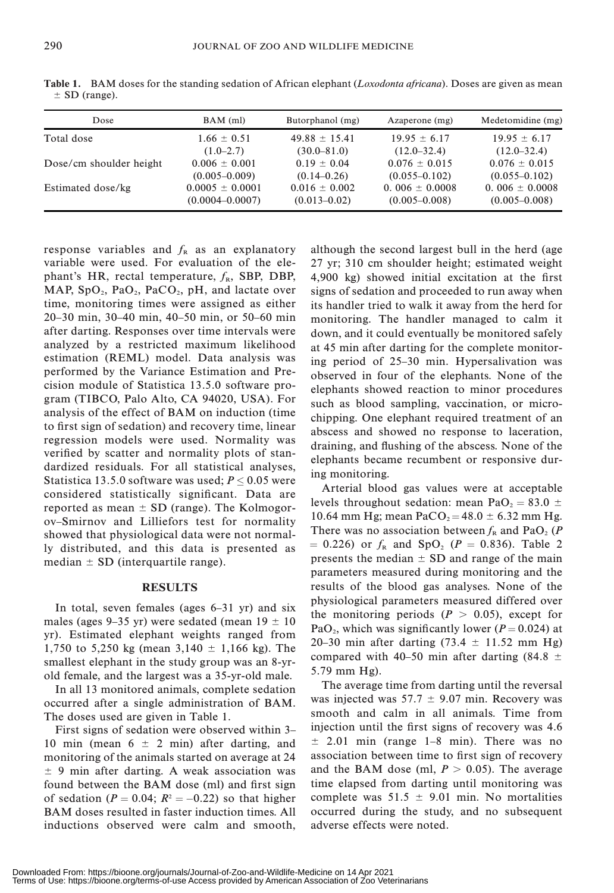| Dose                    | $BAM$ (ml)          | Butorphanol (mg)  | Azaperone (mg)     | Medetomidine (mg)  |
|-------------------------|---------------------|-------------------|--------------------|--------------------|
| Total dose              | $1.66 \pm 0.51$     | $49.88 \pm 15.41$ | $19.95 \pm 6.17$   | $19.95 \pm 6.17$   |
|                         | $(1.0-2.7)$         | $(30.0 - 81.0)$   | $(12.0 - 32.4)$    | $(12.0 - 32.4)$    |
| Dose/cm shoulder height | $0.006 \pm 0.001$   | $0.19 \pm 0.04$   | $0.076 \pm 0.015$  | $0.076 \pm 0.015$  |
|                         | $(0.005 - 0.009)$   | $(0.14 - 0.26)$   | $(0.055 - 0.102)$  | $(0.055 - 0.102)$  |
| Estimated dose/kg       | $0.0005 \pm 0.0001$ | $0.016 \pm 0.002$ | $0.006 \pm 0.0008$ | $0.006 \pm 0.0008$ |
|                         | $(0.0004 - 0.0007)$ | $(0.013 - 0.02)$  | $(0.005 - 0.008)$  | $(0.005 - 0.008)$  |

Table 1. BAM doses for the standing sedation of African elephant (Loxodonta africana). Doses are given as mean  $\pm$  SD (range).

response variables and  $f_{R}$  as an explanatory variable were used. For evaluation of the elephant's HR, rectal temperature,  $f_{R}$ , SBP, DBP, MAP,  $SpO<sub>2</sub>$ ,  $PaO<sub>2</sub>$ ,  $PaCO<sub>2</sub>$ ,  $pH$ , and lactate over time, monitoring times were assigned as either 20–30 min, 30–40 min, 40–50 min, or 50–60 min after darting. Responses over time intervals were analyzed by a restricted maximum likelihood estimation (REML) model. Data analysis was performed by the Variance Estimation and Precision module of Statistica 13.5.0 software program (TIBCO, Palo Alto, CA 94020, USA). For analysis of the effect of BAM on induction (time to first sign of sedation) and recovery time, linear regression models were used. Normality was verified by scatter and normality plots of standardized residuals. For all statistical analyses, Statistica 13.5.0 software was used;  $P \le 0.05$  were considered statistically significant. Data are reported as mean  $\pm$  SD (range). The Kolmogorov–Smirnov and Lilliefors test for normality showed that physiological data were not normally distributed, and this data is presented as median  $\pm$  SD (interquartile range).

#### RESULTS

In total, seven females (ages 6–31 yr) and six males (ages 9–35 yr) were sedated (mean  $19 \pm 10$ yr). Estimated elephant weights ranged from 1,750 to 5,250 kg (mean  $3,140 \pm 1,166$  kg). The smallest elephant in the study group was an 8-yrold female, and the largest was a 35-yr-old male.

In all 13 monitored animals, complete sedation occurred after a single administration of BAM. The doses used are given in Table 1.

First signs of sedation were observed within 3– 10 min (mean  $6 \pm 2$  min) after darting, and monitoring of the animals started on average at 24  $\pm$  9 min after darting. A weak association was found between the BAM dose (ml) and first sign of sedation ( $P = 0.04$ ;  $R^2 = -0.22$ ) so that higher BAM doses resulted in faster induction times. All inductions observed were calm and smooth, although the second largest bull in the herd (age 27 yr; 310 cm shoulder height; estimated weight 4,900 kg) showed initial excitation at the first signs of sedation and proceeded to run away when its handler tried to walk it away from the herd for monitoring. The handler managed to calm it down, and it could eventually be monitored safely at 45 min after darting for the complete monitoring period of 25–30 min. Hypersalivation was observed in four of the elephants. None of the elephants showed reaction to minor procedures such as blood sampling, vaccination, or microchipping. One elephant required treatment of an abscess and showed no response to laceration, draining, and flushing of the abscess. None of the elephants became recumbent or responsive during monitoring.

Arterial blood gas values were at acceptable levels throughout sedation: mean PaO<sub>2</sub> = 83.0  $\pm$ 10.64 mm Hg; mean PaCO<sub>2</sub> = 48.0  $\pm$  6.32 mm Hg. There was no association between  $f_R$  and PaO<sub>2</sub> (P)  $= 0.226$ ) or  $f_R$  and SpO<sub>2</sub> (P  $= 0.836$ ). Table 2 presents the median  $\pm$  SD and range of the main parameters measured during monitoring and the results of the blood gas analyses. None of the physiological parameters measured differed over the monitoring periods  $(P > 0.05)$ , except for PaO<sub>2</sub>, which was significantly lower ( $P = 0.024$ ) at 20–30 min after darting  $(73.4 \pm 11.52 \text{ mm Hg})$ compared with 40–50 min after darting (84.8  $\pm$ 5.79 mm Hg).

The average time from darting until the reversal was injected was  $57.7 \pm 9.07$  min. Recovery was smooth and calm in all animals. Time from injection until the first signs of recovery was 4.6  $\pm$  2.01 min (range 1–8 min). There was no association between time to first sign of recovery and the BAM dose (ml,  $P > 0.05$ ). The average time elapsed from darting until monitoring was complete was  $51.5 \pm 9.01$  min. No mortalities occurred during the study, and no subsequent adverse effects were noted.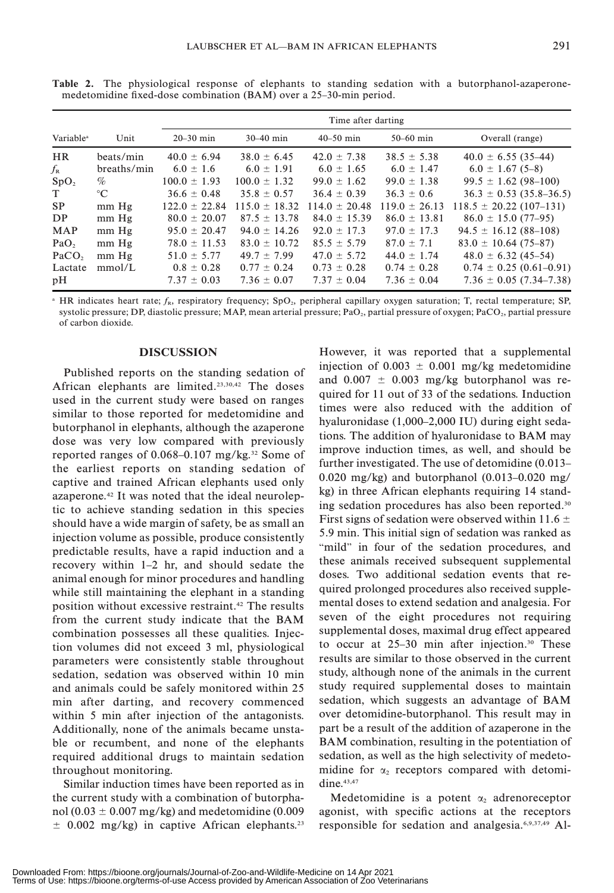|                       |             | Time after darting |                   |                   |                   |                             |  |
|-----------------------|-------------|--------------------|-------------------|-------------------|-------------------|-----------------------------|--|
| Variable <sup>a</sup> | Unit        | $20 - 30$ min      | $30-40$ min       | $40 - 50$ min     | $50-60$ min       | Overall (range)             |  |
| <b>HR</b>             | beats/min   | $40.0 \pm 6.94$    | $38.0 \pm 6.45$   | $42.0 \pm 7.38$   | $38.5 \pm 5.38$   | $40.0 \pm 6.55(35-44)$      |  |
| $f_{\rm R}$           | breaths/min | $6.0 \pm 1.6$      | $6.0 \pm 1.91$    | $6.0 \pm 1.65$    | $6.0 \pm 1.47$    | $6.0 \pm 1.67$ (5-8)        |  |
| SpO <sub>2</sub>      | $\%$        | $100.0 \pm 1.93$   | $100.0 \pm 1.32$  | $99.0 \pm 1.62$   | $99.0 \pm 1.38$   | $99.5 \pm 1.62$ (98-100)    |  |
| T.                    | $^{\circ}C$ | $36.6 \pm 0.48$    | $35.8 \pm 0.57$   | $36.4 \pm 0.39$   | $36.3 \pm 0.6$    | $36.3 \pm 0.53$ (35.8–36.5) |  |
| <b>SP</b>             | $mm$ Hg     | $122.0 \pm 22.84$  | $115.0 \pm 18.32$ | $114.0 \pm 20.48$ | $119.0 \pm 26.13$ | $118.5 \pm 20.22$ (107-131) |  |
| DP                    | mm Hg       | $80.0 \pm 20.07$   | $87.5 \pm 13.78$  | $84.0 \pm 15.39$  | $86.0 \pm 13.81$  | $86.0 \pm 15.0$ (77-95)     |  |
| <b>MAP</b>            | $mm$ Hg     | $95.0 \pm 20.47$   | $94.0 \pm 14.26$  | $92.0 \pm 17.3$   | $97.0 \pm 17.3$   | $94.5 \pm 16.12$ (88-108)   |  |
| PaO <sub>2</sub>      | $mm$ Hg     | $78.0 \pm 11.53$   | $83.0 \pm 10.72$  | $85.5 \pm 5.79$   | $87.0 \pm 7.1$    | $83.0 \pm 10.64$ (75-87)    |  |
| PaCO <sub>2</sub>     | $mm$ Hg     | $51.0 \pm 5.77$    | $49.7 \pm 7.99$   | $47.0 \pm 5.72$   | $44.0 \pm 1.74$   | $48.0 \pm 6.32$ (45-54)     |  |
| Lactate               | mmol/L      | $0.8 \pm 0.28$     | $0.77 \pm 0.24$   | $0.73 \pm 0.28$   | $0.74 \pm 0.28$   | $0.74 \pm 0.25$ (0.61-0.91) |  |
| pH                    |             | $7.37 \pm 0.03$    | $7.36 \pm 0.07$   | $7.37 \pm 0.04$   | $7.36 \pm 0.04$   | $7.36 \pm 0.05$ (7.34–7.38) |  |

Table 2. The physiological response of elephants to standing sedation with a butorphanol-azaperonemedetomidine fixed-dose combination (BAM) over a 25–30-min period.

<sup>a</sup> HR indicates heart rate;  $f_R$ , respiratory frequency; SpO<sub>2</sub>, peripheral capillary oxygen saturation; T, rectal temperature; SP, systolic pressure; DP, diastolic pressure; MAP, mean arterial pressure; PaO<sub>2</sub>, partial pressure of oxygen; PaCO<sub>2</sub>, partial pressure of carbon dioxide.

### DISCUSSION

Published reports on the standing sedation of African elephants are limited.23,30,42 The doses used in the current study were based on ranges similar to those reported for medetomidine and butorphanol in elephants, although the azaperone dose was very low compared with previously reported ranges of  $0.068-0.107$  mg/kg.<sup>32</sup> Some of the earliest reports on standing sedation of captive and trained African elephants used only azaperone.42 It was noted that the ideal neuroleptic to achieve standing sedation in this species should have a wide margin of safety, be as small an injection volume as possible, produce consistently predictable results, have a rapid induction and a recovery within 1–2 hr, and should sedate the animal enough for minor procedures and handling while still maintaining the elephant in a standing position without excessive restraint.42 The results from the current study indicate that the BAM combination possesses all these qualities. Injection volumes did not exceed 3 ml, physiological parameters were consistently stable throughout sedation, sedation was observed within 10 min and animals could be safely monitored within 25 min after darting, and recovery commenced within 5 min after injection of the antagonists. Additionally, none of the animals became unstable or recumbent, and none of the elephants required additional drugs to maintain sedation throughout monitoring.

Similar induction times have been reported as in the current study with a combination of butorphanol (0.03  $\pm$  0.007 mg/kg) and medetomidine (0.009  $\pm$  0.002 mg/kg) in captive African elephants.<sup>23</sup> However, it was reported that a supplemental injection of  $0.003 \pm 0.001$  mg/kg medetomidine and  $0.007 \pm 0.003$  mg/kg butorphanol was required for 11 out of 33 of the sedations. Induction times were also reduced with the addition of hyaluronidase (1,000–2,000 IU) during eight sedations. The addition of hyaluronidase to BAM may improve induction times, as well, and should be further investigated. The use of detomidine (0.013– 0.020 mg/kg) and butorphanol (0.013–0.020 mg/ kg) in three African elephants requiring 14 standing sedation procedures has also been reported.30 First signs of sedation were observed within 11.6  $\pm$ 5.9 min. This initial sign of sedation was ranked as "mild" in four of the sedation procedures, and these animals received subsequent supplemental doses. Two additional sedation events that required prolonged procedures also received supplemental doses to extend sedation and analgesia. For seven of the eight procedures not requiring supplemental doses, maximal drug effect appeared to occur at  $25-30$  min after injection.<sup>30</sup> These results are similar to those observed in the current study, although none of the animals in the current study required supplemental doses to maintain sedation, which suggests an advantage of BAM over detomidine-butorphanol. This result may in part be a result of the addition of azaperone in the BAM combination, resulting in the potentiation of sedation, as well as the high selectivity of medetomidine for  $\alpha$ , receptors compared with detomidine.<sup>43,47</sup>

Medetomidine is a potent  $\alpha_2$  adrenoreceptor agonist, with specific actions at the receptors responsible for sedation and analgesia.6,9,37,49 Al-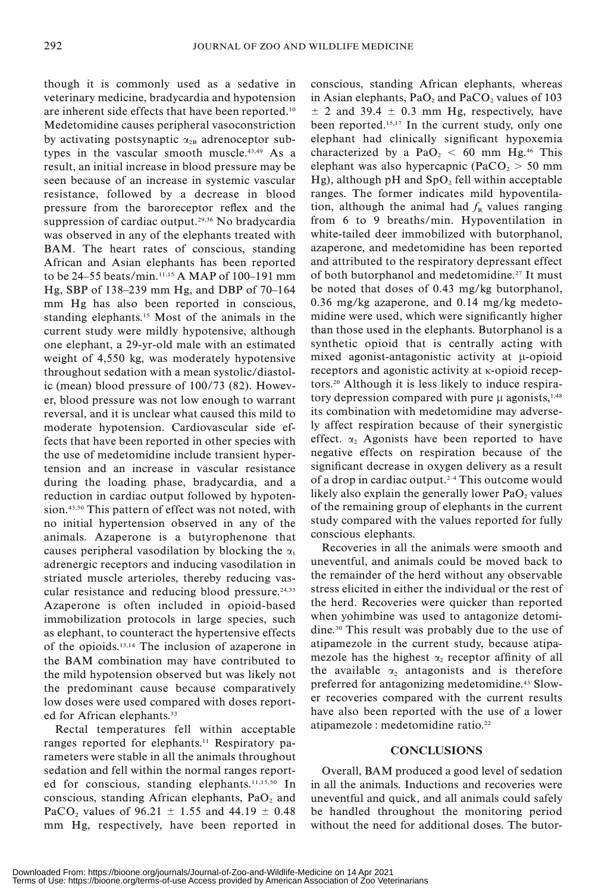though it is commonly used as a sedative in veterinary medicine, bradycardia and hypotension are inherent side effects that have been reported.10 Medetomidine causes peripheral vasoconstriction by activating postsynaptic  $\alpha_{2B}$  adrenoceptor subtypes in the vascular smooth muscle.<sup>43,49</sup> As a result, an initial increase in blood pressure may be seen because of an increase in systemic vascular resistance, followed by a decrease in blood pressure from the baroreceptor reflex and the suppression of cardiac output.29,36 No bradycardia was observed in any of the elephants treated with BAM. The heart rates of conscious, standing African and Asian elephants has been reported to be 24–55 beats/min.11,15 A MAP of 100–191 mm Hg, SBP of 138–239 mm Hg, and DBP of 70–164 mm Hg has also been reported in conscious, standing elephants.15 Most of the animals in the current study were mildly hypotensive, although one elephant, a 29-yr-old male with an estimated weight of 4,550 kg, was moderately hypotensive throughout sedation with a mean systolic/diastolic (mean) blood pressure of 100/73 (82). However, blood pressure was not low enough to warrant reversal, and it is unclear what caused this mild to moderate hypotension. Cardiovascular side effects that have been reported in other species with the use of medetomidine include transient hypertension and an increase in vascular resistance during the loading phase, bradycardia, and a reduction in cardiac output followed by hypotension.<sup>43,50</sup> This pattern of effect was not noted, with no initial hypertension observed in any of the animals. Azaperone is a butyrophenone that causes peripheral vasodilation by blocking the  $\alpha_1$ adrenergic receptors and inducing vasodilation in striated muscle arterioles, thereby reducing vascular resistance and reducing blood pressure.24,33 Azaperone is often included in opioid-based immobilization protocols in large species, such as elephant, to counteract the hypertensive effects of the opioids.13,14 The inclusion of azaperone in the BAM combination may have contributed to the mild hypotension observed but was likely not the predominant cause because comparatively low doses were used compared with doses reported for African elephants.<sup>33</sup>

Rectal temperatures fell within acceptable ranges reported for elephants.<sup>11</sup> Respiratory parameters were stable in all the animals throughout sedation and fell within the normal ranges reported for conscious, standing elephants.11,15,50 In conscious, standing African elephants,  $PaO<sub>2</sub>$  and PaCO<sub>2</sub> values of 96.21  $\pm$  1.55 and 44.19  $\pm$  0.48 mm Hg, respectively, have been reported in

conscious, standing African elephants, whereas in Asian elephants,  $PaO<sub>2</sub>$  and  $PaCO<sub>2</sub>$  values of 103  $\pm$  2 and 39.4  $\pm$  0.3 mm Hg, respectively, have been reported.15,17 In the current study, only one elephant had clinically significant hypoxemia characterized by a PaO<sub>2</sub> < 60 mm Hg.<sup>46</sup> This elephant was also hypercapnic ( $PaCO<sub>2</sub> > 50$  mm Hg), although pH and  $SpO<sub>2</sub>$  fell within acceptable ranges. The former indicates mild hypoventilation, although the animal had  $f<sub>R</sub>$  values ranging from 6 to 9 breaths/min. Hypoventilation in white-tailed deer immobilized with butorphanol, azaperone, and medetomidine has been reported and attributed to the respiratory depressant effect of both butorphanol and medetomidine.<sup>27</sup> It must be noted that doses of 0.43 mg/kg butorphanol, 0.36 mg/kg azaperone, and 0.14 mg/kg medetomidine were used, which were significantly higher than those used in the elephants. Butorphanol is a synthetic opioid that is centrally acting with mixed agonist-antagonistic activity at  $\mu$ -opioid receptors and agonistic activity at  $\kappa$ -opioid receptors.20 Although it is less likely to induce respiratory depression compared with pure  $\mu$  agonists,<sup>1,48</sup> its combination with medetomidine may adversely affect respiration because of their synergistic effect.  $\alpha_2$  Agonists have been reported to have negative effects on respiration because of the significant decrease in oxygen delivery as a result of a drop in cardiac output.<sup>2-4</sup> This outcome would likely also explain the generally lower  $PaO<sub>2</sub>$  values of the remaining group of elephants in the current study compared with the values reported for fully conscious elephants.

Recoveries in all the animals were smooth and uneventful, and animals could be moved back to the remainder of the herd without any observable stress elicited in either the individual or the rest of the herd. Recoveries were quicker than reported when yohimbine was used to antagonize detomidine.30 This result was probably due to the use of atipamezole in the current study, because atipamezole has the highest  $\alpha_2$  receptor affinity of all the available  $\alpha_2$  antagonists and is therefore preferred for antagonizing medetomidine.43 Slower recoveries compared with the current results have also been reported with the use of a lower atipamezole : medetomidine ratio.22

# **CONCLUSIONS**

Overall, BAM produced a good level of sedation in all the animals. Inductions and recoveries were uneventful and quick, and all animals could safely be handled throughout the monitoring period without the need for additional doses. The butor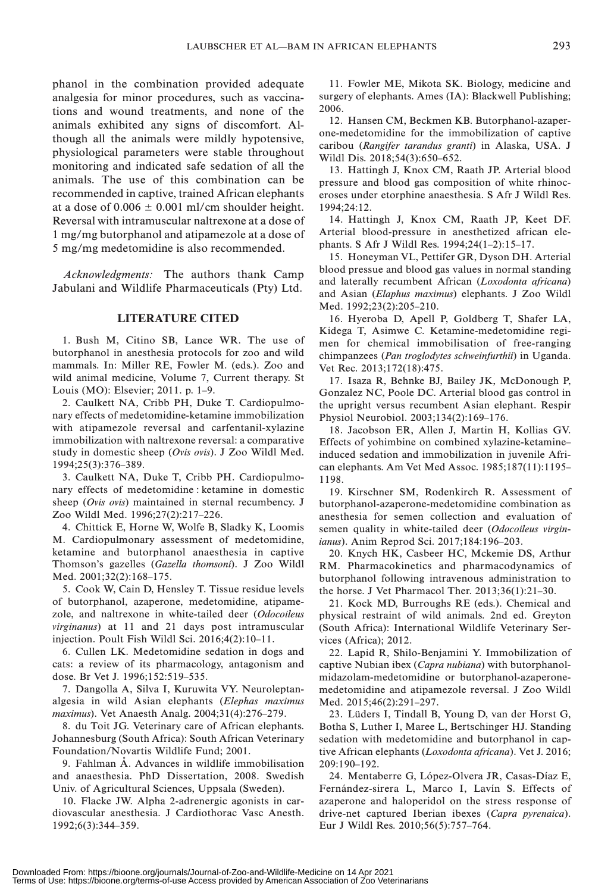phanol in the combination provided adequate analgesia for minor procedures, such as vaccinations and wound treatments, and none of the animals exhibited any signs of discomfort. Although all the animals were mildly hypotensive, physiological parameters were stable throughout monitoring and indicated safe sedation of all the animals. The use of this combination can be recommended in captive, trained African elephants at a dose of  $0.006 \pm 0.001$  ml/cm shoulder height. Reversal with intramuscular naltrexone at a dose of 1 mg/mg butorphanol and atipamezole at a dose of 5 mg/mg medetomidine is also recommended.

Acknowledgments: The authors thank Camp Jabulani and Wildlife Pharmaceuticals (Pty) Ltd.

# LITERATURE CITED

1. Bush M, Citino SB, Lance WR. The use of butorphanol in anesthesia protocols for zoo and wild mammals. In: Miller RE, Fowler M. (eds.). Zoo and wild animal medicine, Volume 7, Current therapy. St Louis (MO): Elsevier; 2011. p. 1–9.

2. Caulkett NA, Cribb PH, Duke T. Cardiopulmonary effects of medetomidine-ketamine immobilization with atipamezole reversal and carfentanil-xylazine immobilization with naltrexone reversal: a comparative study in domestic sheep (Ovis ovis). J Zoo Wildl Med. 1994;25(3):376–389.

3. Caulkett NA, Duke T, Cribb PH. Cardiopulmonary effects of medetomidine : ketamine in domestic sheep (Ovis ovis) maintained in sternal recumbency. J Zoo Wildl Med. 1996;27(2):217–226.

4. Chittick E, Horne W, Wolfe B, Sladky K, Loomis M. Cardiopulmonary assessment of medetomidine, ketamine and butorphanol anaesthesia in captive Thomson's gazelles (Gazella thomsoni). J Zoo Wildl Med. 2001;32(2):168–175.

5. Cook W, Cain D, Hensley T. Tissue residue levels of butorphanol, azaperone, medetomidine, atipamezole, and naltrexone in white-tailed deer (Odocoileus virginanus) at 11 and 21 days post intramuscular injection. Poult Fish Wildl Sci. 2016;4(2):10–11.

6. Cullen LK. Medetomidine sedation in dogs and cats: a review of its pharmacology, antagonism and dose. Br Vet J. 1996;152:519–535.

7. Dangolla A, Silva I, Kuruwita VY. Neuroleptanalgesia in wild Asian elephants (Elephas maximus maximus). Vet Anaesth Analg. 2004;31(4):276–279.

8. du Toit JG. Veterinary care of African elephants. Johannesburg (South Africa): South African Veterinary Foundation/Novartis Wildlife Fund; 2001.

9. Fahlman Å. Advances in wildlife immobilisation and anaesthesia. PhD Dissertation, 2008. Swedish Univ. of Agricultural Sciences, Uppsala (Sweden).

10. Flacke JW. Alpha 2-adrenergic agonists in cardiovascular anesthesia. J Cardiothorac Vasc Anesth. 1992;6(3):344–359.

11. Fowler ME, Mikota SK. Biology, medicine and surgery of elephants. Ames (IA): Blackwell Publishing; 2006.

12. Hansen CM, Beckmen KB. Butorphanol-azaperone-medetomidine for the immobilization of captive caribou (Rangifer tarandus granti) in Alaska, USA. J Wildl Dis. 2018;54(3):650–652.

13. Hattingh J, Knox CM, Raath JP. Arterial blood pressure and blood gas composition of white rhinoceroses under etorphine anaesthesia. S Afr J Wildl Res. 1994;24:12.

14. Hattingh J, Knox CM, Raath JP, Keet DF. Arterial blood-pressure in anesthetized african elephants. S Afr J Wildl Res. 1994;24(1–2):15–17.

15. Honeyman VL, Pettifer GR, Dyson DH. Arterial blood pressue and blood gas values in normal standing and laterally recumbent African (Loxodonta africana) and Asian (Elaphus maximus) elephants. J Zoo Wildl Med. 1992;23(2):205–210.

16. Hyeroba D, Apell P, Goldberg T, Shafer LA, Kidega T, Asimwe C. Ketamine-medetomidine regimen for chemical immobilisation of free-ranging chimpanzees (Pan troglodytes schweinfurthii) in Uganda. Vet Rec. 2013;172(18):475.

17. Isaza R, Behnke BJ, Bailey JK, McDonough P, Gonzalez NC, Poole DC. Arterial blood gas control in the upright versus recumbent Asian elephant. Respir Physiol Neurobiol. 2003;134(2):169–176.

18. Jacobson ER, Allen J, Martin H, Kollias GV. Effects of yohimbine on combined xylazine-ketamine– induced sedation and immobilization in juvenile African elephants. Am Vet Med Assoc. 1985;187(11):1195– 1198.

19. Kirschner SM, Rodenkirch R. Assessment of butorphanol-azaperone-medetomidine combination as anesthesia for semen collection and evaluation of semen quality in white-tailed deer (Odocoileus virginianus). Anim Reprod Sci. 2017;184:196–203.

20. Knych HK, Casbeer HC, Mckemie DS, Arthur RM. Pharmacokinetics and pharmacodynamics of butorphanol following intravenous administration to the horse. J Vet Pharmacol Ther. 2013;36(1):21–30.

21. Kock MD, Burroughs RE (eds.). Chemical and physical restraint of wild animals. 2nd ed. Greyton (South Africa): International Wildlife Veterinary Services (Africa); 2012.

22. Lapid R, Shilo-Benjamini Y. Immobilization of captive Nubian ibex (Capra nubiana) with butorphanolmidazolam-medetomidine or butorphanol-azaperonemedetomidine and atipamezole reversal. J Zoo Wildl Med. 2015;46(2):291–297.

23. Lüders I, Tindall B, Young D, van der Horst G, Botha S, Luther I, Maree L, Bertschinger HJ. Standing sedation with medetomidine and butorphanol in captive African elephants (Loxodonta africana). Vet J. 2016; 209:190–192.

24. Mentaberre G, López-Olvera JR, Casas-Díaz E, Fernández-sirera L, Marco I, Lavín S. Effects of azaperone and haloperidol on the stress response of drive-net captured Iberian ibexes (Capra pyrenaica). Eur J Wildl Res. 2010;56(5):757–764.